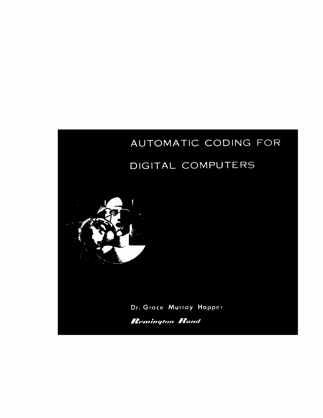## AUTOMATIC CODING FOR

## DIGITAL COMPUTERS

Dr. Grace Murray Hopper

**Remington Rand** 

 $\overline{\mathbf{S}}$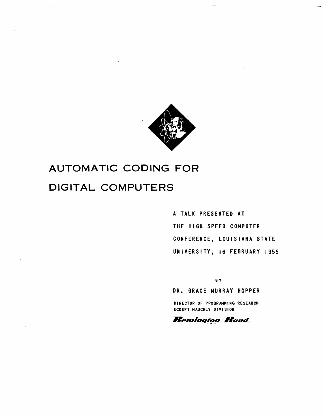

## **AUTOMATIC CODING FOR DIGITAL COMPUTERS**

A TALK PRESENTED AT THE HIGH SPEED COMPUTER CONFERENCE, LOUISIANA STATE UNIVERSITY, 16 FEBRUARY 1955

BY

DR. GRACE MURRAY HOPPER

DIRECTOR OF PROGRAMMING RESEARCH ECKERT MAUCHLY DIVISION

## **Remington Rand**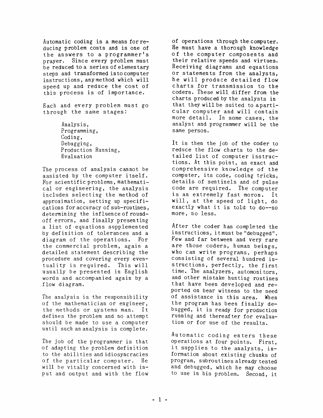Automatic coding is a means for reducing problem costs and is one of the answers to a programmer's prayer. Since every ptoblem must be reduced to a series of elementary steps and transformed in to compu ter instruc tions, any method which will speed up and reduce the cost of this process is of importance.

Each and every problem must go through the same stages:

> Analysis, Programming, Coding, Debugging, Production Running, Evaluation

The process of analysis cannot be assisted by the computer itself. For scientific problems, mathematicalor engineering, the analysis includes selecting the method of approximation, setting up specifications for accuracy of sub-routines, determining the influence of roundoff errors, and finally presenting a list of -equations supplemented by definition of tolerances and a diagram of the operations. For the commercial problem, again a detailed statement describing the procedure and covering every even-<br>tuality is required. This will tuality is required. usually be presented in English words and accompanied again by a flow diagram.

The analysis is the responsibility of the mathematician or engineer, the methods or systems man. It defines the problem and no attempt should be made to use a computer until such an analysis is complete.

The job of the programmer is that of adapting the problem definition to the abili ties and idiosyncracies of the particular computer. He will be vitally concerned with input and output and with the flow

of operations through the computer. He must have a thorough knowledge of the computer components and their relative speeds and virtues. Receiving diagrams and equations or statements from the analysts, he will produce detailed flow charts for transmission to the coders. These will differ from the charts produced by the analysts in that they will be suited to aparticular computer and will contain<br>more detail. In some cases, the In some cases, the analyst and programmer will be the same person.

It is then the job of the coder to reduce the flow charts to the detailed list of computer instructions. At this point, an exact and comprehensive knowledge of the computer, its code, coding tricks, details of sentinels and of pulse code are required. The computer is an extremely fast moron. It will, at the speed of light, do exactly what it is told to do--no more, no less.

After the coder has completed the instructions, it must be "debugged". Few and far between and very rare are those coders, human beings, who can write programs, perhaps consisting of several hundred instructions, perfectly, the first time. The analyzers, automonitors, and other mistake hunting routines that have been developed and reported on bear witness to the need of assistance in this area. When the program has been finally debugged, it is ready for production running and thereafter for evaluation or for use of the results.

Automatic coding enters these operations at four points. First, it supplies to the analysts, information about existing chunks of program, subroutines already tested and debugged, which he may choose to use in his problem. Second, it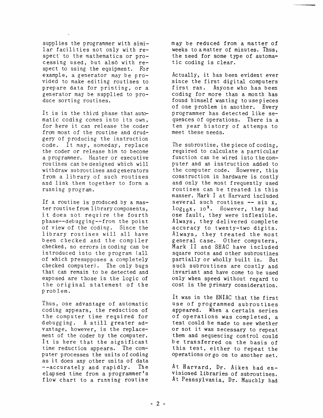supplies the programmer with similar facilities not only with respect" to the mathematics or processing used, but also with respect to using the equipment. For example, a generator may be provided to make editing routines to prepare data for printing, or a generator may be supplied to produce sorting routines.

It is in the third phase that automatic coding comes into its own, for here it can release the coder from most of the routine and drudgery of producing the instruction code. It may, someday, replace the coder or release him to become a programmer. Master or executive routines can be designed which will withdraw subroutines and generators from a library of such routines and link them together to form a running program.

If a routine is produced by a master routine from library components, it does not require the fourth phase--debugging--from the point of view of the coding. Since the library routines will all have been checked and the compiler checked, no errors in coding can be introduced into the program (all of which presupposes a completely checked computer). The only bugs that can remain to be detected and exposed are those in the logic of the original statement of the p rob lem.

Thus, one advantage of automatic coding appears, the reduction of the computer time required for debugging. A still greater advantage, however, is the replacement of the coder by the computer. It is here that the significant time reduction appears. The computer processes the units of coding as it does any other units of data --accurately and rapidly. The elapsed time from a programmer's flow chart to a running routine

may be reduced from a matter of weeks to a matter of minutes. Thus, the need for some type of automatic coding is clear.

Actually, it has been evident ever since the first digital computers first ran. Anyone who has been coding for more than a month has found himself wan ting to use pieces of one problem in another. Every programmer has detected like sequences of operations. There is a ten year history of attemps to meet these needs.

The subroutine, the piece of coding, required to calculate a particular function can be wired into the computer and an instruction added to the computer code. However, this construction in hardware is costly and only the most frequently used routines can be treated in this manner. Mark I at Harvard included several such routines **--** sin x,  $\log_{10}x$ ,  $\log_{10}x$ . However, they had one fault, they were inflexible. Always, they delivered complete accuracy to twenty-two digits. Always, they treated the most general case. Other computers, Mark II and SEAC have included square roots and other subroutines partially or wholly built in. But such subroutines are costly and invariant and have come to be used only when speed without regard to cost is the primary consideration.

It was in the ENIAC that the first use of programmed subroutines appeared. When a certain series of operations was completed, a test could be made to see whether or not it was necessary to repeat them and sequencing control could be transferred on the basis of this test, either to repeat the operationsorgo on to another set.

At Harvard, Dr. Aiken had envisioned libraries of subroutines. At Pennsylvania, Dr. Mauchly had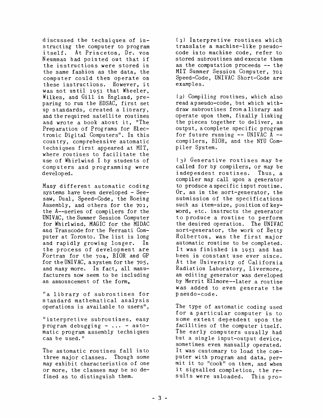discussed the techniques of instructing the computer to program itself. At Princeton, Dr. von Neumman had pointed out that if the instructions were stored in the same fashion as the data, the computer could then operate on these instructions. However, it was not until 1951 that Wheeler, Wilkes, and Gill in England, preparing to run the EDSAC, first set up standards, created a library, and the required satelli te routines and wrote a book about it, "The Preparation of Programs for Elect ronic Digi tal Compu ters". In this country, comprehensive automatic techniques first appeared at MIT, where routines to facilitate the use of Whirlwind I by students of computers and programming were developed.

Many different automatic coding systems have been developed - Seesaw, Dual, Speed-Code, the Boeing Assembly, and others for the 701, the A--series of compilers for the UNIVAC, the Summer Session Compu ter for Whirlwind, MAGIC for the MIDAC and Transcode for the Ferran ti Computer at Toronto. The list is long<br>and rapidly growing longer. In and rapidly growing longer. the process of development are Fortran for the  $704$ , BIOR and GP for the UNIVAC, a system for the 705, and many more. In fact, all manufacturers now seem to be including an announcement of the form,

"a library of subroutines for standard mathematical analysis operations is available to users",

"interpretive subroutines, easy program debugging  $- \ldots -$  automatic program assembly techniques can be used."

The automatic routines fall into three major classes. Though some may exhibit characteristics of one or more, the classes may be so defined as to distinguish them.

(1) Interpretive routines which translate a machine-like pseudocode into machine code, refer to stored subroutines and execute them as the computation proceeds  $-$ - the MIT Summer Session Computer, 701 Speed-Code, UNIVAC Short-Code are examples.

(2) Compiling routines, which also read apseudo-code, but which withdraw subroutines from a library and operate upon them, finally linking the pieces together to deliver, as output, acomplete specific program for future running  $--$  UNIVAC A  $-$ compilers, BIOR, and the NYU Compiler System.

(3) Generative routines may be called for by compilers, or may be independent routines. Thus, a compiler may call upon a generator to produce a specific input routine. Or, as in the sort-generator, the submission of the specifications such as item-size, position of keyword, etc. instructs the generator to produce a routine to perform the desired operation. The UNIVAC sort-generator, the work of Betty Holberton, was the first major automatic routine to be completed. It was finished in 1951 and has been in constant use ever since. At the University of California Radiation Laboratory, Livermore, an editing generator was developed by Merrit Ellmore--later a routine was added to even generate the pseudo-code.

The type of automatic coding used for a particular computer is to some extent dependent upon the facilities of the computer itself. The early computers usually had but a single input-output device, sometimes even manually operated. It was customary to load the computer wi th program and data, permit it to "cook" on them, and when it signalled completion, the results were unloaded. This pro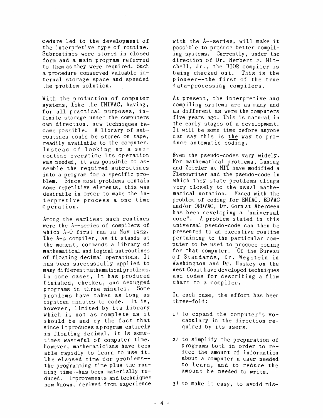cedure led to the development of the interpretive type of routine. SUbroutines were stored in closed form and a main program referred to them as they were requi red. Such a procedure conserved valuable internal storage space and speeded the problem solution.

With the production of computer systems, like the UNIVAC, having, for all practical purposes, infinite storage under the computers own direction, new techniques became possible. A library of subroutines could be stored on tape, readily available to the computer. Instead of looking up a subroutine every time its operation was needed, it was possible to assemble the required subroutines into a program for a specific problem. Since most problems contain some repetitive elements, this was desirable in order to make the interpretive process a one-time operation.

Among the earliest such routines were the A--series of compilers of which A-O first ran in May 1952. The A-2 compiler, as it stands at the moment, commands a library of mathematical and logical subroutines of floating decimal operations. It has been successfully applied to many di ff eren t mathematical problems. In some cases, it has produced finished, checked, and debugged programs in three minutes. Some problems have taken as long as eighteen minutes to code. It is, however, limited by its library which is not as complete as it should be and by the fact that since it produces a program entirely in floating decimal, it is sometimes wasteful of computer time. However, mathematicians have been able rapidly to learn to use it. The elapsed time for problems- the programming time plus the running time--has been materially reduced. Improvemen ts and techniques now known, derived from experience with the A--series, will make it possible to produce better compiling systems. Currently, under the direction of Dr. Herbert F. Mitchell, Jr., the BIOR compiler is being checked out. This is the pioneer--the first of the true data-processing compilers.

At present, the interpretive and compiling systems are as many and as different as were the computers five years ago. This is natural in the early stages of a development. It will be some time before anyone can say this is the way to  $pro$ duce automatic coding.

Even the pseudo-codes vary widely. For mathematical problems, Laning and Zeirler at MIT have modified a Flexowriter and the pseudo-code in which they state problems clings very closely to the usual mathematical notation. Faced with the problem of coding for ENIAC, EDVAC and/or ORDVAC, Dr. Gorn at Aberdeen has been developing a "universal code". A problem stated in this universal pseudo-code can then be presented to an executive routine pertaining to the particular computer to be used to produce coding for that computer. Of the Bureau of Standards, Dr. Wegstein in Washington and Dr. Huskey on the West Coast have developed techniques and codes for describing a flow chart to a compiler.

In each case, the effort has been three-fold:

- 1) to expand the computer's vocabulary in the direction required by its users.
- 2) to simplify the preparation of programs bo th in order to reduce the amount of information about a computer a user needed to learn, and to reduce the amount he needed to write.

3) to make it easy, to avoid mis-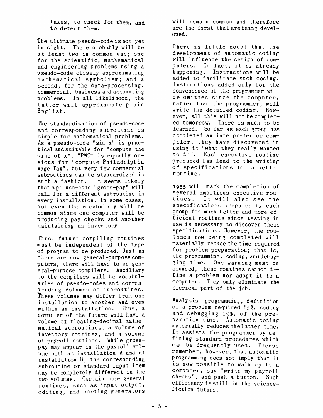takes, to check for them, and to detect them.

The ultimate pseudo-code is not yet in sight. There probably will be at least two in common use; one for the scientific, mathematical and engineering problems using a pseudo-code closely approximating mathematical symbolism; and a second, for the data-processing, commercial, business and accounting problems. In all likelihood, the latter will approximate plain English.

The standardization of pseudo-code and corresponding subroutine is simple for mathematical problems. As a pseudo-code "sin  $x''$  is practical and suitable for "compute the sine of  $x''$ , "PWT" is equally obvious for "compute Philadelphia Wage Tax", but very few commercial subroutines can be standardized in such a fashion. It seems likely that a pseudo-code "gross-pay" will call for a different subroutine in every installation. In some cases, not even the vocabulary will be common since one computer will be producing pay checks and another maintaining an inventory.

Thus, future compiling routines must be independent of the type of program to be produced. Just as there are now general-purpose computers, there will have to be general-purpose compilers. Auxiliary to the compilers will be vocabularies of pseudo-codes and corresponding volumes of subroutines. These volumes may differ from one installation to another and even within an installation. Thus, a compiler of the future will have a volume of floating-decimal mathematical subroutines, a volume of inventory routines, and a volume of payroll routines. While grosspay may appear in the payroll volume both at installation A and at installation B, the corresponding subroutine or standard input item may be completely different in the two volumes. Certain more general routines, such as input-output, editing, and sorting generators will remain common and therefore are the first that are being developed.

There is little doubt that the development of automatic coding will influence the design of computers. In fact, it is already happening. Instructions will be added to facilitate such coding. Instructions added only for the convenience of the programmer will be omitted since the computer, rather than the programmer, will write the detailed coding. However, all this will not be completed tomorrow. There is much to be learned. So far as each group has completed an interpreter or compiler, they have discovered in using it "what they really wanted to do". Each executive routine produced has lead to the writing of specifications for a better routine.

1955 will mark the completion of several ambitious executive rou-<br>tines. It will also see the It will also see the specifications prepared by each group for much better and more efficient routines since testing in use is necessary to discover these specifications. However, the routines now being completed will materially reduce the time required for problem preparation; that is, the programming, coding, and debugging time. One warning must be sounded, these routines cannot define a problem nor adapt it to a computer. They only eliminate the clerical part of the job.

Analysis, programming, definition of a problem required 85%, coding and debugging 15%, of the preparation time. Automatic coding materially reduces the latter time. It assists the programmer by defining standard procedures which can be frequently used. Please remember, however, that automatic programming does not imply that it is now possible to walk up to a c ompu ter, say "wri te my payroll checks", and push a button. Such efficiency isstill in the sciencefiction future.